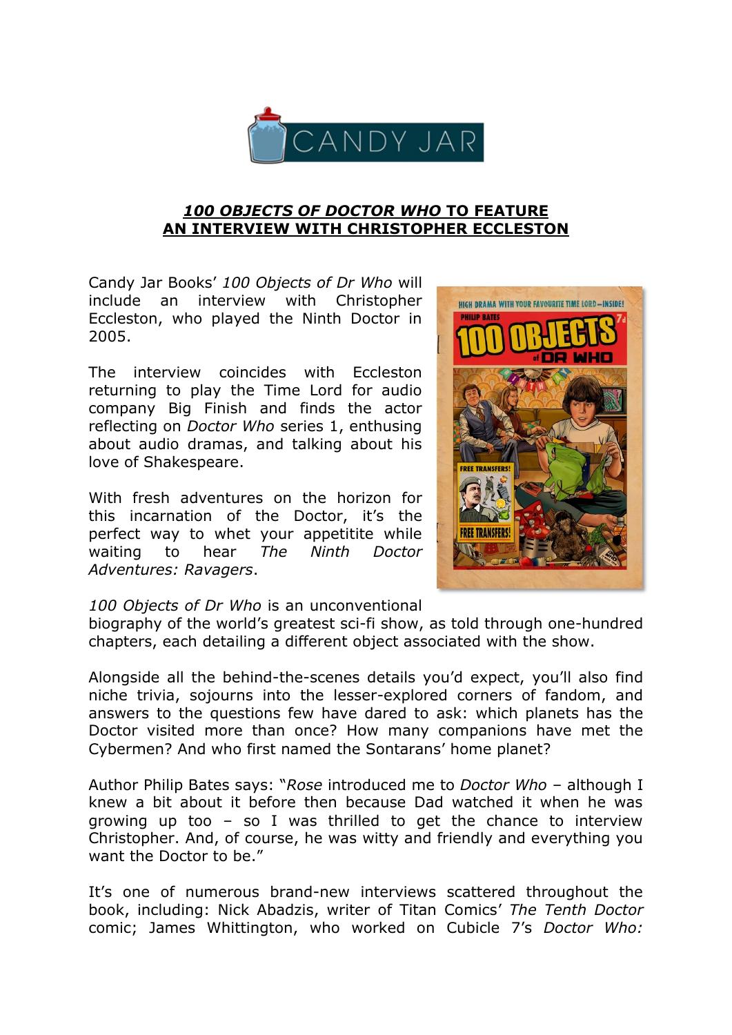

## *100 OBJECTS OF DOCTOR WHO* **TO FEATURE AN INTERVIEW WITH CHRISTOPHER ECCLESTON**

Candy Jar Books" *100 Objects of Dr Who* will include an interview with Christopher Eccleston, who played the Ninth Doctor in 2005.

The interview coincides with Eccleston returning to play the Time Lord for audio company Big Finish and finds the actor reflecting on *Doctor Who* series 1, enthusing about audio dramas, and talking about his love of Shakespeare.

With fresh adventures on the horizon for this incarnation of the Doctor, it"s the perfect way to whet your appetitite while waiting to hear *The Ninth Doctor Adventures: Ravagers*.



## *100 Objects of Dr Who* is an unconventional

biography of the world"s greatest sci-fi show, as told through one-hundred chapters, each detailing a different object associated with the show.

Alongside all the behind-the-scenes details you"d expect, you"ll also find niche trivia, sojourns into the lesser-explored corners of fandom, and answers to the questions few have dared to ask: which planets has the Doctor visited more than once? How many companions have met the Cybermen? And who first named the Sontarans' home planet?

Author Philip Bates says: "*Rose* introduced me to *Doctor Who* – although I knew a bit about it before then because Dad watched it when he was growing up too – so I was thrilled to get the chance to interview Christopher. And, of course, he was witty and friendly and everything you want the Doctor to be."

It's one of numerous brand-new interviews scattered throughout the book, including: Nick Abadzis, writer of Titan Comics" *The Tenth Doctor* comic; James Whittington, who worked on Cubicle 7"s *Doctor Who:*